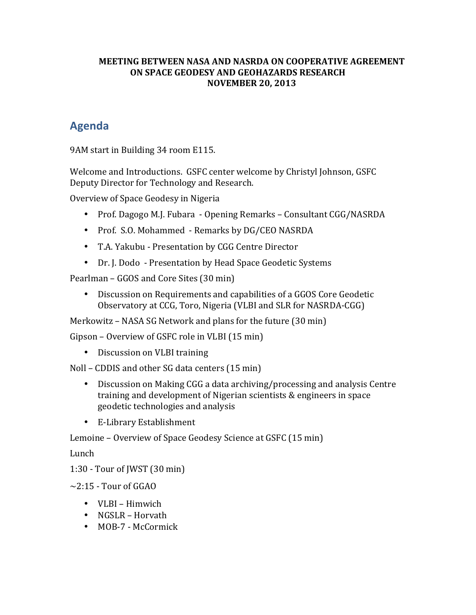#### **MEETING BETWEEN NASA AND NASRDA ON COOPERATIVE AGREEMENT ON SPACE GEODESY AND GEOHAZARDS RESEARCH NOVEMBER 20, 2013**

## **Agenda**

9AM start in Building 34 room E115.

Welcome and Introductions. GSFC center welcome by Christyl Johnson, GSFC Deputy Director for Technology and Research.

Overview of Space Geodesy in Nigeria

- Prof. Dagogo M.J. Fubara Opening Remarks Consultant CGG/NASRDA
- Prof. S.O. Mohammed Remarks by DG/CEO NASRDA
- T.A. Yakubu Presentation by CGG Centre Director
- Dr. J. Dodo Presentation by Head Space Geodetic Systems

Pearlman – GGOS and Core Sites (30 min)

• Discussion on Requirements and capabilities of a GGOS Core Geodetic Observatory at CCG, Toro, Nigeria (VLBI and SLR for NASRDA-CGG)

Merkowitz – NASA SG Network and plans for the future  $(30 \text{ min})$ 

Gipson – Overview of GSFC role in VLBI  $(15 \text{ min})$ 

• Discussion on VLBI training

Noll – CDDIS and other SG data centers  $(15 \text{ min})$ 

- Discussion on Making CGG a data archiving/processing and analysis Centre training and development of Nigerian scientists & engineers in space geodetic technologies and analysis
- E-Library Establishment

Lemoine – Overview of Space Geodesy Science at GSFC (15 min)

Lunch

1:30 - Tour of JWST  $(30 \text{ min})$ 

 $\sim$ 2:15 - Tour of GGAO

- VLBI Himwich
- $NGSLR Horvath$
- MOB-7 McCormick